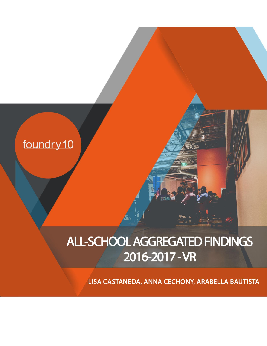

# ALL-SCHOOL AGGREGATED FINDINGS 2016-2017 - VR

LISA CASTANEDA, ANNA CECHONY, ARABELLA BAUTISTA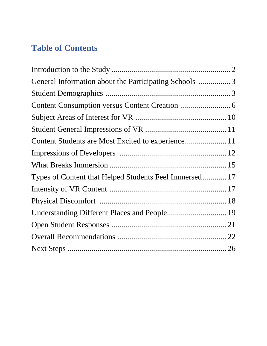# **Table of Contents**

| General Information about the Participating Schools 3  |  |
|--------------------------------------------------------|--|
|                                                        |  |
|                                                        |  |
|                                                        |  |
|                                                        |  |
|                                                        |  |
|                                                        |  |
|                                                        |  |
| Types of Content that Helped Students Feel Immersed 17 |  |
|                                                        |  |
|                                                        |  |
| Understanding Different Places and People 19           |  |
|                                                        |  |
|                                                        |  |
|                                                        |  |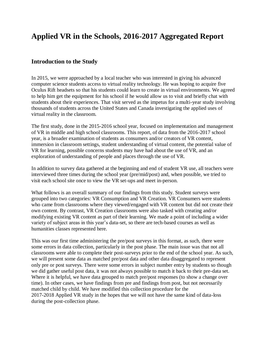# **Applied VR in the Schools, 2016-2017 Aggregated Report**

#### **Introduction to the Study**

In 2015, we were approached by a local teacher who was interested in giving his advanced computer science students access to virtual reality technology. He was hoping to acquire five Oculus Rift headsets so that his students could learn to create in virtual environments. We agreed to help him get the equipment for his school if he would allow us to visit and briefly chat with students about their experiences. That visit served as the impetus for a multi-year study involving thousands of students across the United States and Canada investigating the applied uses of virtual reality in the classroom.

The first study, done in the 2015-2016 school year, focused on implementation and management of VR in middle and high school classrooms. This report, of data from the 2016-2017 school year, is a broader examination of students as consumers and/or creators of VR content, immersion in classroom settings, student understanding of virtual content, the potential value of VR for learning, possible concerns students may have had about the use of VR, and an exploration of understanding of people and places through the use of VR.

In addition to survey data gathered at the beginning and end of student VR use, all teachers were interviewed three times during the school year (pre/mid/post) and, when possible, we tried to visit each school site once to view the VR set-ups and meet in-person.

What follows is an overall summary of our findings from this study. Student surveys were grouped into two categories: VR Consumption and VR Creation. VR Consumers were students who came from classrooms where they viewed/engaged with VR content but did not create their own content. By contrast, VR Creation classrooms were also tasked with creating and/or modifying existing VR content as part of their learning. We made a point of including a wider variety of subject areas in this year's data-set, so there are tech-based courses as well as humanities classes represented here.

This was our first time administering the pre/post surveys in this format, as such, there were some errors in data collection, particularly in the post phase. The main issue was that not all classrooms were able to complete their post-surveys prior to the end of the school year. As such, we will present some data as matched pre/post data and other data disaggregated to represent only pre or post surveys. There were some errors in subject number entry by students so though we did gather useful post data, it was not always possible to match it back to their pre-data set. Where it is helpful, we have data grouped to match pre/post responses (to show a change over time). In other cases, we have findings from pre and findings from post, but not necessarily matched child by child. We have modified this collection procedure for the 2017-2018 Applied VR study in the hopes that we will not have the same kind of data-loss during the post-collection phase.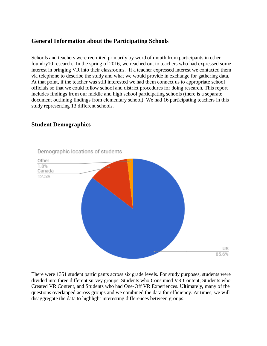# **General Information about the Participating Schools**

Schools and teachers were recruited primarily by word of mouth from participants in other foundry10 research. In the spring of 2016, we reached out to teachers who had expressed some interest in bringing VR into their classrooms. If a teacher expressed interest we contacted them via telephone to describe the study and what we would provide in exchange for gathering data. At that point, if the teacher was still interested we had them connect us to appropriate school officials so that we could follow school and district procedures for doing research. This report includes findings from our middle and high school participating schools (there is a separate document outlining findings from elementary school). We had 16 participating teachers in this study representing 13 different schools.

# **Student Demographics**



Demographic locations of students

There were 1351 student participants across six grade levels. For study purposes, students were divided into three different survey groups: Students who Consumed VR Content, Students who Created VR Content, and Students who had One-Off VR Experiences. Ultimately, many of the questions overlapped across groups and we combined the data for efficiency. At times, we will disaggregate the data to highlight interesting differences between groups.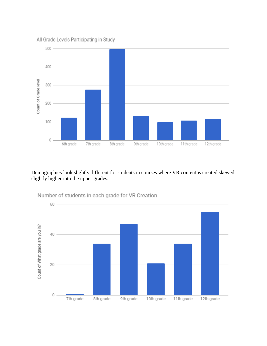

Demographics look slightly different for students in courses where VR content is created skewed slightly higher into the upper grades.



Number of students in each grade for VR Creation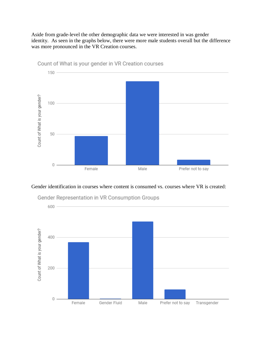Aside from grade-level the other demographic data we were interested in was gender identity. As seen in the graphs below, there were more male students overall but the difference was more pronounced in the VR Creation courses.



Count of What is your gender in VR Creation courses

#### Gender identification in courses where content is consumed vs. courses where VR is created:



Gender Representation in VR Consumption Groups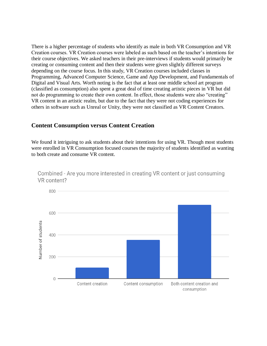There is a higher percentage of students who identify as male in both VR Consumption and VR Creation courses. VR Creation courses were labeled as such based on the teacher's intentions for their course objectives. We asked teachers in their pre-interviews if students would primarily be creating or consuming content and then their students were given slightly different surveys depending on the course focus. In this study, VR Creation courses included classes in Programming, Advanced Computer Science, Game and App Development, and Fundamentals of Digital and Visual Arts. Worth noting is the fact that at least one middle school art program (classified as consumption) also spent a great deal of time creating artistic pieces in VR but did not do programming to create their own content. In effect, those students were also "creating" VR content in an artistic realm, but due to the fact that they were not coding experiences for others in software such as Unreal or Unity, they were not classified as VR Content Creators.

#### **Content Consumption versus Content Creation**

We found it intriguing to ask students about their intentions for using VR. Though most students were enrolled in VR Consumption focused courses the majority of students identified as wanting to both create and consume VR content.



Combined - Are you more interested in creating VR content or just consuming VR content?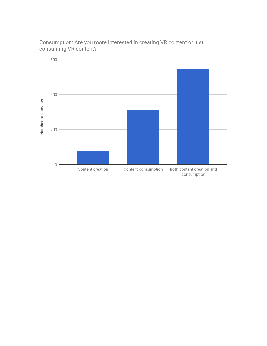

Consumption: Are you more interested in creating VR content or just consuming VR content?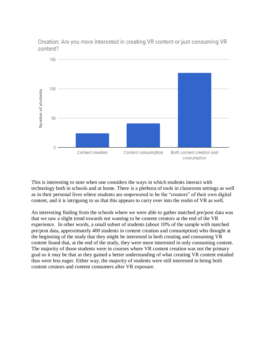Creation: Are you more interested in creating VR content or just consuming VR content?



This is interesting to note when one considers the ways in which students interact with technology both in schools and at home. There is a plethora of tools in classroom settings as well as in their personal lives where students are empowered to be the "creators" of their own digital content, and it is intriguing to us that this appears to carry over into the realm of VR as well.

An interesting finding from the schools where we were able to gather matched pre/post data was that we saw a slight trend towards not wanting to be content creators at the end of the VR experience. In other words, a small subset of students (about 10% of the sample with matched pre/post data, approximately 400 students in content creation and consumption) who thought at the beginning of the study that they might be interested in both creating and consuming VR content found that, at the end of the study, they were more interested in only consuming content. The majority of those students were in courses where VR content creation was not the primary goal so it may be that as they gained a better understanding of what creating VR content entailed thus were less eager. Either way, the majority of students were still interested in being both content creators and content consumers after VR exposure.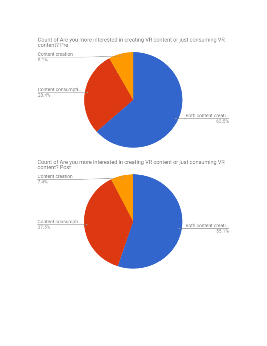

Count of Are you more interested in creating VR content or just consuming VR content? Post



Count of Are you more interested in creating VR content or just consuming VR content? Pre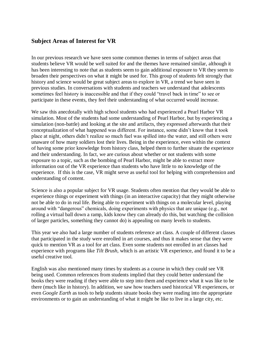### **Subject Areas of Interest for VR**

In our previous research we have seen some common themes in terms of subject areas that students believe VR would be well suited for and the themes have remained similar, although it has been interesting to note that as students seem to gain additional exposure to VR they seem to broaden their perspectives on what it might be used for. This group of students felt strongly that history and science would be great subject areas to explore in VR, a trend we have seen in previous studies. In conversations with students and teachers we understand that adolescents sometimes feel history is inaccessible and that if they could "travel back in time" to see or participate in these events, they feel their understanding of what occurred would increase.

We saw this anecdotally with high school students who had experienced a Pearl Harbor VR simulation. Most of the students had some understanding of Pearl Harbor, but by experiencing a simulation (non-battle) and looking at the site and artifacts, they expressed afterwards that their conceptualization of what happened was different. For instance, some didn't know that it took place at night, others didn't realize so much fuel was spilled into the water, and still others were unaware of how many soldiers lost their lives. Being in the experience, even within the context of having some prior knowledge from history class, helped them to further situate the experience and their understanding. In fact, we are curious about whether or not students with some exposure to a topic, such as the bombing of Pearl Harbor, might be able to extract more information out of the VR experience than students who have little to no knowledge of the experience. If this is the case, VR might serve as useful tool for helping with comprehension and understanding of content.

Science is also a popular subject for VR usage. Students often mention that they would be able to experience things or experiment with things (in an interactive capacity) that they might otherwise not be able to do in real life. Being able to experiment with things on a molecular level, playing around with "dangerous" chemicals, doing experiments with physics that are unique (e.g., not rolling a virtual ball down a ramp, kids know they can already do this, but watching the collision of larger particles, something they cannot do) is appealing on many levels to students.

This year we also had a large number of students reference art class. A couple of different classes that participated in the study were enrolled in art courses, and thus it makes sense that they were quick to mention VR as a tool for art class. Even some students not enrolled in art classes had experience with programs like *Tilt Brush,* which is an artistic VR experience, and found it to be a useful creative tool.

English was also mentioned many times by students as a course in which they could see VR being used. Common references from students implied that they could better understand the books they were reading if they were able to step into them and experience what it was like to be there (much like in history). In addition, we saw how teachers used historical VR experiences, or even *Google Earth* as tools to help students situate books they were reading into the appropriate environments or to gain an understanding of what it might be like to live in a large city, etc.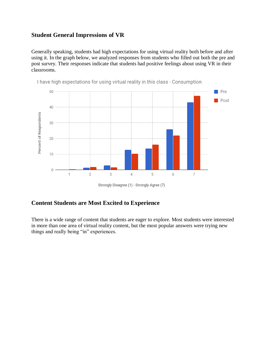### **Student General Impressions of VR**

Generally speaking, students had high expectations for using virtual reality both before and after using it. In the graph below, we analyzed responses from students who filled out both the pre and post survey. Their responses indicate that students had positive feelings about using VR in their classrooms.



I have high expectations for using virtual reality in this class - Consumption

Strongly Disagree (1) - Strongly Agree (7)

### **Content Students are Most Excited to Experience**

There is a wide range of content that students are eager to explore. Most students were interested in more than one area of virtual reality content, but the most popular answers were trying new things and really being "in" experiences.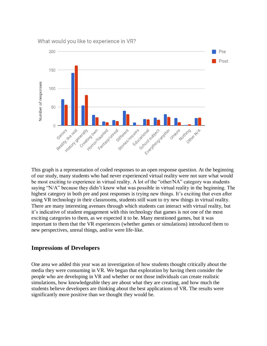What would you like to experience in VR?



This graph is a representation of coded responses to an open response question. At the beginning of our study, many students who had never experienced virtual reality were not sure what would be most exciting to experience in virtual reality. A lot of the "other/NA" category was students saying "N/A" because they didn't know what was possible in virtual reality in the beginning. The highest category in both pre and post responses is trying new things. It's exciting that even after using VR technology in their classrooms, students still want to try new things in virtual reality. There are many interesting avenues through which students can interact with virtual reality, but it's indicative of student engagement with this technology that games is not one of the most exciting categories to them, as we expected it to be. Many mentioned games, but it was important to them that the VR experiences (whether games or simulations) introduced them to new perspectives, unreal things, and/or were life-like.

#### **Impressions of Developers**

One area we added this year was an investigation of how students thought critically about the media they were consuming in VR. We began that exploration by having them consider the people who are developing in VR and whether or not those individuals can create realistic simulations, how knowledgeable they are about what they are creating, and how much the students believe developers are thinking about the best applications of VR. The results were significantly more positive than we thought they would be.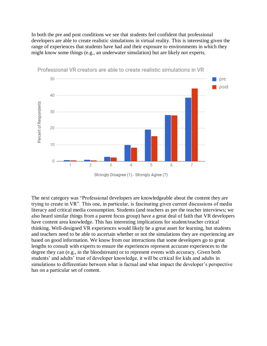In both the pre and post conditions we see that students feel confident that professional developers are able to create realistic simulations in virtual reality. This is interesting given the range of experiences that students have had and their exposure to environments in which they might know some things (e.g., an underwater simulation) but are likely not experts.



Professional VR creators are able to create realistic simulations in VR

The next category was "Professional developers are knowledgeable about the content they are trying to create in VR". This one, in particular, is fascinating given current discussions of media literacy and critical media consumption. Students (and teachers as per the teacher interviews; we also heard similar things from a parent focus group) have a great deal of faith that VR developers have content area knowledge. This has interesting implications for student/teacher critical thinking. Well-designed VR experiences would likely be a great asset for learning, but students and teachers need to be able to ascertain whether or not the simulations they are experiencing are based on good information. We know from our interactions that some developers go to great lengths to consult with experts to ensure the experiences represent accurate experiences to the degree they can (e.g., in the bloodstream) or to represent events with accuracy. Given both students' and adults' trust of developer knowledge, it will be critical for kids and adults in simulations to differentiate between what is factual and what impact the developer's perspective has on a particular set of content.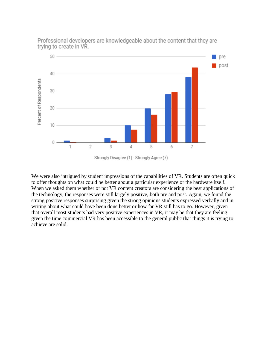

Professional developers are knowledgeable about the content that they are trying to create in VR.

We were also intrigued by student impressions of the capabilities of VR. Students are often quick to offer thoughts on what could be better about a particular experience or the hardware itself. When we asked them whether or not VR content creators are considering the best applications of the technology, the responses were still largely positive, both pre and post. Again, we found the strong positive responses surprising given the strong opinions students expressed verbally and in writing about what could have been done better or how far VR still has to go. However, given that overall most students had very positive experiences in VR, it may be that they are feeling given the time commercial VR has been accessible to the general public that things it is trying to achieve are solid.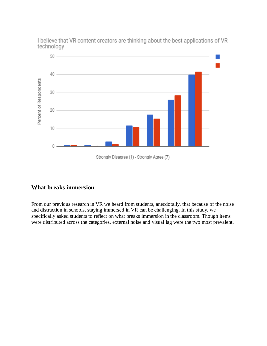I believe that VR content creators are thinking about the best applications of VR technology  $50 -$ 



# **What breaks immersion**

From our previous research in VR we heard from students, anecdotally, that because of the noise and distraction in schools, staying immersed in VR can be challenging. In this study, we specifically asked students to reflect on what breaks immersion in the classroom. Though items were distributed across the categories, external noise and visual lag were the two most prevalent.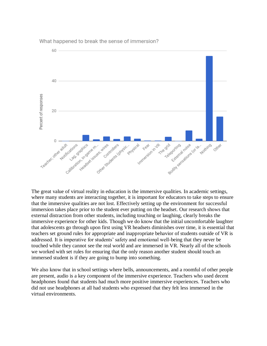

What happened to break the sense of immersion?

The great value of virtual reality in education is the immersive qualities. In academic settings, where many students are interacting together, it is important for educators to take steps to ensure that the immersive qualities are not lost. Effectively setting up the environment for successful immersion takes place prior to the student ever putting on the headset. Our research shows that external distraction from other students, including touching or laughing, clearly breaks the immersive experience for other kids. Though we do know that the initial uncomfortable laughter that adolescents go through upon first using VR headsets diminishes over time, it is essential that teachers set ground rules for appropriate and inappropriate behavior of students outside of VR is addressed. It is imperative for students' safety and emotional well-being that they never be touched while they cannot see the real world and are immersed in VR. Nearly all of the schools we worked with set rules for ensuring that the only reason another student should touch an immersed student is if they are going to bump into something.

We also know that in school settings where bells, announcements, and a roomful of other people are present, audio is a key component of the immersive experience. Teachers who used decent headphones found that students had much more positive immersive experiences. Teachers who did not use headphones at all had students who expressed that they felt less immersed in the virtual environments.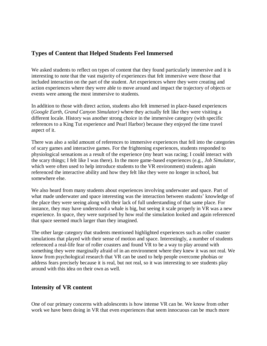# **Types of Content that Helped Students Feel Immersed**

We asked students to reflect on types of content that they found particularly immersive and it is interesting to note that the vast majority of experiences that felt immersive were those that included interaction on the part of the student. Art experiences where they were creating and action experiences where they were able to move around and impact the trajectory of objects or events were among the most immersive to students.

In addition to those with direct action, students also felt immersed in place-based experiences (*Google Earth, Grand Canyon Simulator)* where they actually felt like they were visiting a different locale. History was another strong choice in the immersive category (with specific references to a King Tut experience and Pearl Harbor) because they enjoyed the time travel aspect of it.

There was also a solid amount of references to immersive experiences that fell into the categories of scary games and interactive games. For the frightening experiences, students responded to physiological sensations as a result of the experience (my heart was racing; I could interact with the scary things; I felt like I was there). In the more game-based experiences (e.g., *Job Simulator*, which were often used to help introduce students to the VR environment) students again referenced the interactive ability and how they felt like they were no longer in school, but somewhere else.

We also heard from many students about experiences involving underwater and space. Part of what made underwater and space interesting was the interaction between students' knowledge of the place they were seeing along with their lack of full understanding of that same place. For instance, they may have understood a whale is big, but seeing it scale properly in VR was a new experience. In space, they were surprised by how real the simulation looked and again referenced that space seemed much larger than they imagined.

The other large category that students mentioned highlighted experiences such as roller coaster simulations that played with their sense of motion and space. Interestingly, a number of students referenced a real-life fear of roller coasters and found VR to be a way to play around with something they were marginally afraid of in an environment where they knew it was not real. We know from psychological research that VR can be used to help people overcome phobias or address fears precisely because it is real, but not real, so it was interesting to see students play around with this idea on their own as well.

#### **Intensity of VR content**

One of our primary concerns with adolescents is how intense VR can be. We know from other work we have been doing in VR that even experiences that seem innocuous can be much more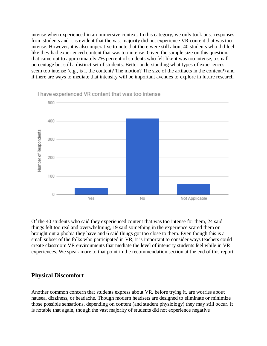intense when experienced in an immersive context. In this category, we only took post-responses from students and it is evident that the vast majority did not experience VR content that was too intense. However, it is also imperative to note that there were still about 40 students who did feel like they had experienced content that was too intense. Given the sample size on this question, that came out to approximately 7% percent of students who felt like it was too intense, a small percentage but still a distinct set of students. Better understanding what types of experiences seem too intense (e.g., is it the content? The motion? The size of the artifacts in the content?) and if there are ways to mediate that intensity will be important avenues to explore in future research.



Of the 40 students who said they experienced content that was too intense for them, 24 said things felt too real and overwhelming, 19 said something in the experience scared them or brought out a phobia they have and 6 said things got too close to them. Even though this is a small subset of the folks who participated in VR, it is important to consider ways teachers could create classroom VR environments that mediate the level of intensity students feel while in VR experiences. We speak more to that point in the recommendation section at the end of this report.

#### **Physical Discomfort**

Another common concern that students express about VR, before trying it, are worries about nausea, dizziness, or headache. Though modern headsets are designed to eliminate or minimize those possible sensations, depending on content (and student physiology) they may still occur. It is notable that again, though the vast majority of students did not experience negative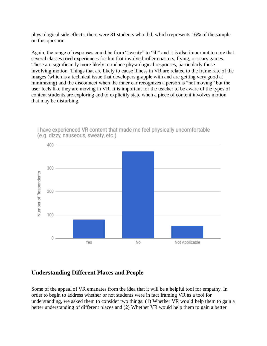physiological side effects, there were 81 students who did, which represents 16% of the sample on this question.

Again, the range of responses could be from "sweaty" to "ill" and it is also important to note that several classes tried experiences for fun that involved roller coasters, flying, or scary games. These are significantly more likely to induce physiological responses, particularly those involving motion. Things that are likely to cause illness in VR are related to the frame rate of the images (which is a technical issue that developers grapple with and are getting very good at minimizing) and the disconnect when the inner ear recognizes a person is "not moving" but the user feels like they are moving in VR. It is important for the teacher to be aware of the types of content students are exploring and to explicitly state when a piece of content involves motion that may be disturbing.



I have experienced VR content that made me feel physically uncomfortable (e.g. dizzy, nauseous, sweaty, etc.)

# **Understanding Different Places and People**

Some of the appeal of VR emanates from the idea that it will be a helpful tool for empathy. In order to begin to address whether or not students were in fact framing VR as a tool for understanding, we asked them to consider two things: (1) Whether VR would help them to gain a better understanding of different places and (2) Whether VR would help them to gain a better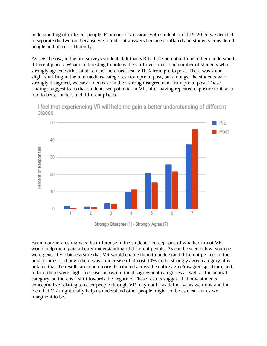understanding of different people. From our discussions with students in 2015-2016, we decided to separate the two out because we found that answers became conflated and students considered people and places differently.

As seen below, in the pre-surveys students felt that VR had the potential to help them understand different places. What is interesting to note is the shift over time. The number of students who strongly agreed with that statement increased nearly 10% from pre to post. There was some slight shuffling in the intermediary categories from pre to post, but amongst the students who strongly disagreed, we saw a decrease in their strong disagreement from pre to post. These findings suggest to us that students see potential in VR, after having repeated exposure to it, as a tool to better understand different places.



I feel that experiencing VR will help me gain a better understanding of different places

Even more interesting was the difference in the students' perceptions of whether or not VR would help them gain a better understanding of different people. As can be seen below, students were generally a bit less sure that VR would enable them to understand different people. In the post responses, though there was an increase of almost 10% in the strongly agree category, it is notable that the results are much more distributed across the entire agree/disagree spectrum, and, in fact, there were slight increases in two of the disagreement categories as well as the neutral category, so there is a shift towards the negative. These results suggest that how students conceptualize relating to other people through VR may not be as definitive as we think and the idea that VR might really help us understand other people might not be as clear cut as we imagine it to be.

Strongly Disagree (1) - Strongly Agree (7)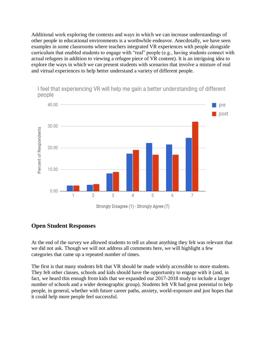Additional work exploring the contexts and ways in which we can increase understandings of other people in educational environments is a worthwhile endeavor. Anecdotally, we have seen examples in some classrooms where teachers integrated VR experiences with people alongside curriculum that enabled students to engage with "real" people (e.g., having students connect with actual refugees in addition to viewing a refugee piece of VR content). It is an intriguing idea to explore the ways in which we can present students with scenarios that involve a mixture of real and virtual experiences to help better understand a variety of different people.



I feel that experiencing VR will help me gain a better understanding of different people

#### **Open Student Responses**

At the end of the survey we allowed students to tell us about anything they felt was relevant that we did not ask. Though we will not address all comments here, we will highlight a few categories that came up a repeated number of times.

The first is that many students felt that VR should be made widely accessible to more students. They felt other classes, schools and kids should have the opportunity to engage with it (and, in fact, we heard this enough from kids that we expanded our 2017-2018 study to include a larger number of schools and a wider demographic group). Students felt VR had great potential to help people, in general, whether with future career paths, anxiety, world-exposure and just hopes that it could help more people feel successful.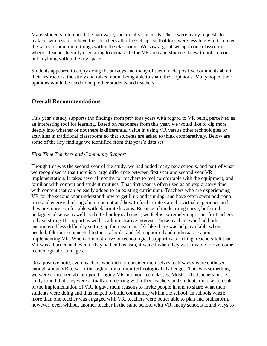Many students referenced the hardware, specifically the cords. There were many requests to make it wireless or to have their teachers alter the set-ups so that kids were less likely to trip over the wires or bump into things within the classroom. We saw a great set-up in one classroom where a teacher literally used a rug to demarcate the VR area and students knew to not step or put anything within the rug space.

Students appeared to enjoy doing the surveys and many of them made positive comments about their instructors, the study and talked about being able to share their opinions. Many hoped their opinions would be used to help other students and teachers.

### **Overall Recommendations**

This year's study supports the findings from previous years with regard to VR being perceived as an interesting tool for learning. Based on responses from this year, we would like to dig more deeply into whether or not there is differential value in using VR versus other technologies or activities in traditional classrooms so that students are asked to think comparatively. Below are some of the key findings we identified from this year's data set.

#### *First Time Teachers and Community Support*

Though this was the second year of the study, we had added many new schools, and part of what we recognized is that there is a large difference between first year and second year VR implementation. It takes several months for teachers to feel comfortable with the equipment, and familiar with content and student routines. That first year is often used as an exploratory time with content that can be easily added to an existing curriculum. Teachers who are experiencing VR for the second year understand how to get it up and running, and have often spent additional time and energy thinking about content and how to further integrate the virtual experience and they are more comfortable with elaborate lessons. Because of the learning curve, both in the pedagogical sense as well as the technological sense, we feel is extremely important for teachers to have strong IT support as well as administrative interest. Those teachers who had both encountered less difficulty setting up their systems, felt like there was help available when needed, felt more connected to their schools, and felt supported and enthusiastic about implementing VR. When administrative or technological support was lacking, teachers felt that VR was a burden and even if they had enthusiasm, it waned when they were unable to overcome technological challenges.

On a positive note, even teachers who did not consider themselves tech-savvy were enthused enough about VR to work through many of their technological challenges. This was something we were concerned about upon bringing VR into non-tech classes. Most of the teachers in the study found that they were actually connecting with other teachers and students more as a result of the implementation of VR. It gave them reasons to invite people in and to share what their students were doing and thus helped to build community within the school. In schools where more than one teacher was engaged with VR, teachers were better able to plan and brainstorm, however, even without another teacher in the same school with VR, many schools found ways to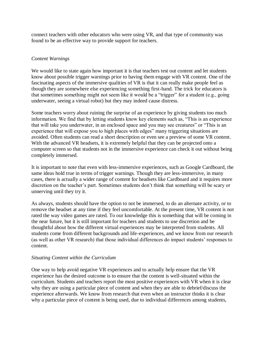connect teachers with other educators who were using VR, and that type of community was found to be an effective way to provide support for teachers.

#### *Content Warnings*

We would like to state again how important it is that teachers test out content and let students know about possible trigger warnings prior to having them engage with VR content. One of the fascinating aspects of the immersive qualities of VR is that it can really make people feel as though they are somewhere else experiencing something first-hand. The trick for educators is that sometimes something might not seem like it would be a "trigger" for a student (e.g., going underwater, seeing a virtual robot) but they may indeed cause distress.

Some teachers worry about ruining the surprise of an experience by giving students too much information. We find that by letting students know key elements such as, "This is an experience that will take you underwater, in an enclosed space and you may see creatures" or "This is an experience that will expose you to high places with edges" many triggering situations are avoided. Often students can read a short description or even see a preview of some VR content. With the advanced VR headsets, it is extremely helpful that they can be projected onto a computer screen so that students not in the immersive experience can check it out without being completely immersed.

It is important to note that even with less-immersive experiences, such as Google Cardboard, the same ideas hold true in terms of trigger warnings. Though they are less-immersive, in many cases, there is actually a wider range of content for headsets like Cardboard and it requires more discretion on the teacher's part. Sometimes students don't think that something will be scary or unnerving until they try it.

As always, students should have the option to not be immersed, to do an alternate activity, or to remove the headset at any time if they feel uncomfortable. At the present time, VR content is not rated the way video games are rated. To our knowledge this is something that will be coming in the near future, but it is still important for teachers and students to use discretion and be thoughtful about how the different virtual experiences may be interpreted from students. All students come from different backgrounds and life-experiences, and we know from our research (as well as other VR research) that those individual differences do impact students' responses to content.

#### *Situating Content within the Curriculum*

One way to help avoid negative VR experiences and to actually help ensure that the VR experience has the desired outcome is to ensure that the content is well-situated within the curriculum. Students and teachers report the most positive experiences with VR when it is clear why they are using a particular piece of content and when they are able to debrief/discuss the experience afterwards. We know from research that even when an instructor thinks it is clear why a particular piece of content is being used, due to individual differences among students,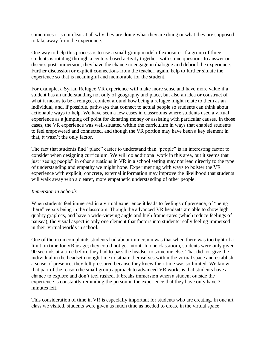sometimes it is not clear at all why they are doing what they are doing or what they are supposed to take away from the experience.

One way to help this process is to use a small-group model of exposure. If a group of three students is rotating through a centers-based activity together, with some questions to answer or discuss post-immersion, they have the chance to engage in dialogue and debrief the experience. Further discussion or explicit connections from the teacher, again, help to further situate the experience so that is meaningful and memorable for the student.

For example, a Syrian Refugee VR experience will make more sense and have more value if a student has an understanding not only of geography and place, but also an idea or construct of what it means to be a refugee, context around how being a refugee might relate to them as an individual, and, if possible, pathways that connect to actual people so students can think about actionable ways to help. We have seen a few cases in classrooms where students used a virtual experience as a jumping off point for donating money or assisting with particular causes. In those cases, the VR experience was well-situated within the curriculum in ways that enabled students to feel empowered and connected, and though the VR portion may have been a key element in that, it wasn't the only factor.

The fact that students find "place" easier to understand than "people" is an interesting factor to consider when designing curriculum. We will do additional work in this area, but it seems that just "seeing people" in other situations in VR in a school setting may not lead directly to the type of understanding and empathy we might hope. Experimenting with ways to bolster the VR experience with explicit, concrete, external information may improve the likelihood that students will walk away with a clearer, more empathetic understanding of other people.

#### *Immersion in Schools*

When students feel immersed in a virtual experience it leads to feelings of presence, of "being there" versus being in the classroom. Though the advanced VR headsets are able to show high quality graphics, and have a wide-viewing angle and high frame-rates (which reduce feelings of nausea), the visual aspect is only one element that factors into students really feeling immersed in their virtual worlds in school.

One of the main complaints students had about immersion was that when there was too tight of a limit on time for VR usage; they could not get into it. In one classroom, students were only given 90 seconds at a time before they had to pass the headset to someone else. That did not give the individual in the headset enough time to situate themselves within the virtual space and establish a sense of presence, they felt pressured because they knew their time was so limited. We know that part of the reason the small group approach to advanced VR works is that students have a chance to explore and don't feel rushed. It breaks immersion when a student outside the experience is constantly reminding the person in the experience that they have only have 3 minutes left.

This consideration of time in VR is especially important for students who are creating. In one art class we visited, students were given as much time as needed to create in the virtual space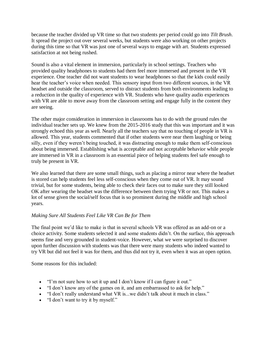because the teacher divided up VR time so that two students per period could go into *Tilt Brush*. It spread the project out over several weeks, but students were also working on other projects during this time so that VR was just one of several ways to engage with art. Students expressed satisfaction at not being rushed.

Sound is also a vital element in immersion, particularly in school settings. Teachers who provided quality headphones to students had them feel more immersed and present in the VR experience. One teacher did not want students to wear headphones so that the kids could easily hear the teacher's voice when needed. This sensory input from two different sources, in the VR headset and outside the classroom, served to distract students from both environments leading to a reduction in the quality of experience with VR. Students who have quality audio experiences with VR are able to move away from the classroom setting and engage fully in the content they are seeing.

The other major consideration in immersion in classrooms has to do with the ground rules the individual teacher sets up. We knew from the 2015-2016 study that this was important and it was strongly echoed this year as well. Nearly all the teachers say that no touching of people in VR is allowed. This year, students commented that if other students were near them laughing or being silly, even if they weren't being touched, it was distracting enough to make them self-conscious about being immersed. Establishing what is acceptable and not acceptable behavior while people are immersed in VR in a classroom is an essential piece of helping students feel safe enough to truly be present in VR.

We also learned that there are some small things, such as placing a mirror near where the headset is stored can help students feel less self-conscious when they come out of VR. It may sound trivial, but for some students, being able to check their faces out to make sure they still looked OK after wearing the headset was the difference between them trying VR or not. This makes a lot of sense given the social/self focus that is so prominent during the middle and high school years.

#### *Making Sure All Students Feel Like VR Can Be for Them*

The final point we'd like to make is that in several schools VR was offered as an add-on or a choice activity. Some students selected it and some students didn't. On the surface, this approach seems fine and very grounded in student-voice. However, what we were surprised to discover upon further discussion with students was that there were many students who indeed wanted to try VR but did not feel it was for them, and thus did not try it, even when it was an open option.

Some reasons for this included:

- "I'm not sure how to set it up and I don't know if I can figure it out."
- "I don't know any of the games on it, and am embarrassed to ask for help."
- "I don't really understand what VR is...we didn't talk about it much in class."
- "I don't want to try it by myself."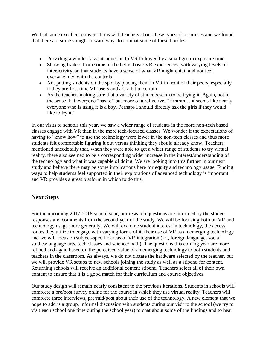We had some excellent conversations with teachers about these types of responses and we found that there are some straightforward ways to combat some of these hurdles:

- Providing a whole class introduction to VR followed by a small group exposure time
- Showing trailers from some of the better basic VR experiences, with varying levels of interactivity, so that students have a sense of what VR might entail and not feel overwhelmed with the controls
- Not putting students on the spot by placing them in VR in front of their peers, especially if they are first time VR users and are a bit uncertain
- As the teacher, making sure that a variety of students seem to be trying it. Again, not in the sense that everyone "has to" but more of a reflective, "Hmmm… it seems like nearly everyone who is using it is a boy. Perhaps I should directly ask the girls if they would like to try it."

In our visits to schools this year, we saw a wider range of students in the more non-tech based classes engage with VR than in the more tech-focused classes. We wonder if the expectations of having to "know how" to use the technology were lower in the non-tech classes and thus more students felt comfortable figuring it out versus thinking they should already know. Teachers mentioned anecdotally that, when they were able to get a wider range of students to try virtual reality, there also seemed to be a corresponding wider increase in the interest/understanding of the technology and what it was capable of doing. We are looking into this further in our next study and believe there may be some implications here for equity and technology usage. Finding ways to help students feel supported in their explorations of advanced technology is important and VR provides a great platform in which to do this.

# **Next Steps**

For the upcoming 2017-2018 school year, our research questions are informed by the student responses and comments from the second year of the study. We will be focusing both on VR and technology usage more generally. We will examine student interest in technology, the access routes they utilize to engage with varying forms of it, their use of VR as an emerging technology and we will focus on subject-specific areas of VR integration (art, foreign language, social studies/language arts, tech classes and science/math). The questions this coming year are more refined and again based on the perceived value of an emerging technology to both students and teachers in the classroom. As always, we do not dictate the hardware selected by the teacher, but we will provide VR setups to new schools joining the study as well as a stipend for content. Returning schools will receive an additional content stipend. Teachers select all of their own content to ensure that it is a good match for their curriculum and course objectives.

Our study design will remain nearly consistent to the previous iterations. Students in schools will complete a pre/post survey online for the course in which they use virtual reality. Teachers will complete three interviews, pre/mid/post about their use of the technology. A new element that we hope to add is a group, informal discussion with students during our visit to the school (we try to visit each school one time during the school year) to chat about some of the findings and to hear